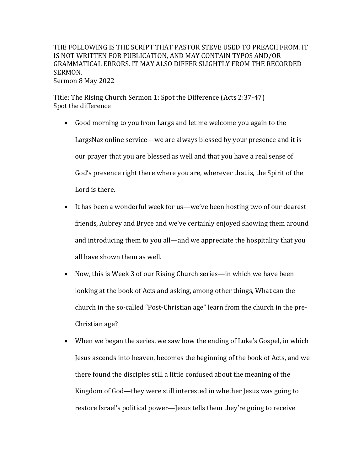THE FOLLOWING IS THE SCRIPT THAT PASTOR STEVE USED TO PREACH FROM. IT IS NOT WRITTEN FOR PUBLICATION, AND MAY CONTAIN TYPOS AND/OR GRAMMATICAL ERRORS. IT MAY ALSO DIFFER SLIGHTLY FROM THE RECORDED SERMON. Sermon 8 May 2022

Title: The Rising Church Sermon 1: Spot the Difference (Acts 2:37-47) Spot the difference

- Good morning to you from Largs and let me welcome you again to the LargsNaz online service—we are always blessed by your presence and it is our prayer that you are blessed as well and that you have a real sense of God's presence right there where you are, wherever that is, the Spirit of the Lord is there.
- It has been a wonderful week for us—we've been hosting two of our dearest friends, Aubrey and Bryce and we've certainly enjoyed showing them around and introducing them to you all—and we appreciate the hospitality that you all have shown them as well.
- Now, this is Week 3 of our Rising Church series—in which we have been looking at the book of Acts and asking, among other things, What can the church in the so-called "Post-Christian age" learn from the church in the pre-Christian age?
- When we began the series, we saw how the ending of Luke's Gospel, in which Jesus ascends into heaven, becomes the beginning of the book of Acts, and we there found the disciples still a little confused about the meaning of the Kingdom of God—they were still interested in whether Jesus was going to restore Israel's political power-Jesus tells them they're going to receive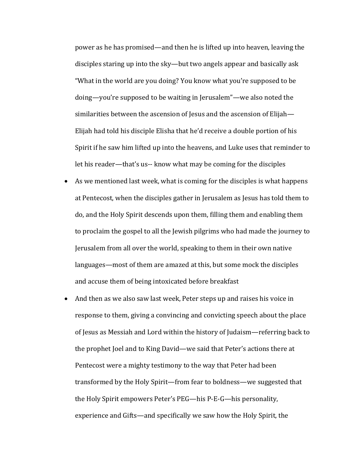power as he has promised—and then he is lifted up into heaven, leaving the disciples staring up into the sky—but two angels appear and basically ask "What in the world are you doing? You know what you're supposed to be doing—you're supposed to be waiting in Jerusalem"—we also noted the similarities between the ascension of Jesus and the ascension of Elijah $-$ Elijah had told his disciple Elisha that he'd receive a double portion of his Spirit if he saw him lifted up into the heavens, and Luke uses that reminder to let his reader—that's us-- know what may be coming for the disciples

- As we mentioned last week, what is coming for the disciples is what happens at Pentecost, when the disciples gather in Jerusalem as Jesus has told them to do, and the Holy Spirit descends upon them, filling them and enabling them to proclaim the gospel to all the Jewish pilgrims who had made the journey to Jerusalem from all over the world, speaking to them in their own native languages—most of them are amazed at this, but some mock the disciples and accuse them of being intoxicated before breakfast
- And then as we also saw last week, Peter steps up and raises his voice in response to them, giving a convincing and convicting speech about the place of Jesus as Messiah and Lord within the history of Judaism—referring back to the prophet Joel and to King David—we said that Peter's actions there at Pentecost were a mighty testimony to the way that Peter had been transformed by the Holy Spirit—from fear to boldness—we suggested that the Holy Spirit empowers Peter's PEG—his P-E-G—his personality, experience and Gifts—and specifically we saw how the Holy Spirit, the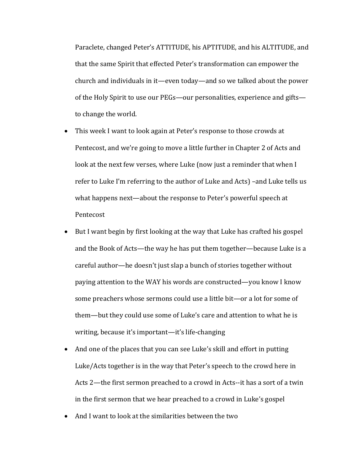Paraclete, changed Peter's ATTITUDE, his APTITUDE, and his ALTITUDE, and that the same Spirit that effected Peter's transformation can empower the church and individuals in it—even today—and so we talked about the power of the Holy Spirit to use our PEGs—our personalities, experience and gifts to change the world.

- This week I want to look again at Peter's response to those crowds at Pentecost, and we're going to move a little further in Chapter 2 of Acts and look at the next few verses, where Luke (now just a reminder that when I refer to Luke I'm referring to the author of Luke and Acts) –and Luke tells us what happens next—about the response to Peter's powerful speech at Pentecost
- But I want begin by first looking at the way that Luke has crafted his gospel and the Book of Acts—the way he has put them together—because Luke is a careful author—he doesn't just slap a bunch of stories together without paying attention to the WAY his words are constructed—you know I know some preachers whose sermons could use a little bit—or a lot for some of them—but they could use some of Luke's care and attention to what he is writing, because it's important—it's life-changing
- And one of the places that you can see Luke's skill and effort in putting Luke/Acts together is in the way that Peter's speech to the crowd here in Acts 2—the first sermon preached to a crowd in Acts--it has a sort of a twin in the first sermon that we hear preached to a crowd in Luke's gospel
- And I want to look at the similarities between the two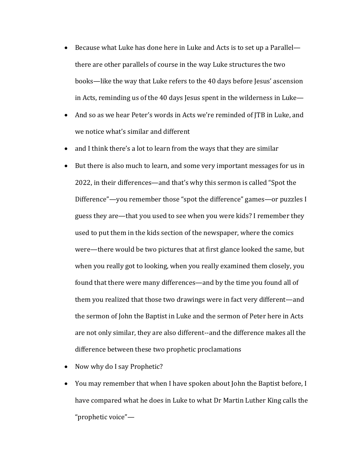- Because what Luke has done here in Luke and Acts is to set up a Parallel there are other parallels of course in the way Luke structures the two books—like the way that Luke refers to the 40 days before Jesus' ascension in Acts, reminding us of the 40 days Jesus spent in the wilderness in Luke—
- And so as we hear Peter's words in Acts we're reminded of ITB in Luke, and we notice what's similar and different
- and I think there's a lot to learn from the ways that they are similar
- But there is also much to learn, and some very important messages for us in 2022, in their differences—and that's why this sermon is called "Spot the Difference"—you remember those "spot the difference" games—or puzzles I guess they are—that you used to see when you were kids? I remember they used to put them in the kids section of the newspaper, where the comics were—there would be two pictures that at first glance looked the same, but when you really got to looking, when you really examined them closely, you found that there were many differences—and by the time you found all of them you realized that those two drawings were in fact very different—and the sermon of John the Baptist in Luke and the sermon of Peter here in Acts are not only similar, they are also different--and the difference makes all the difference between these two prophetic proclamations
- Now why do I say Prophetic?
- You may remember that when I have spoken about John the Baptist before, I have compared what he does in Luke to what Dr Martin Luther King calls the "prophetic voice"-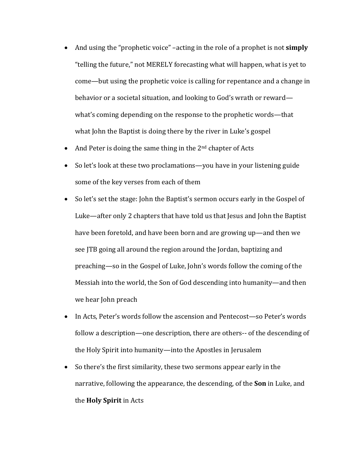- And using the "prophetic voice" –acting in the role of a prophet is not **simply** "telling the future," not MERELY forecasting what will happen, what is yet to come—but using the prophetic voice is calling for repentance and a change in behavior or a societal situation, and looking to God's wrath or reward what's coming depending on the response to the prophetic words—that what John the Baptist is doing there by the river in Luke's gospel
- And Peter is doing the same thing in the  $2<sup>nd</sup>$  chapter of Acts
- So let's look at these two proclamations—you have in your listening guide some of the key verses from each of them
- So let's set the stage: John the Baptist's sermon occurs early in the Gospel of Luke—after only 2 chapters that have told us that Jesus and John the Baptist have been foretold, and have been born and are growing up—and then we see JTB going all around the region around the Jordan, baptizing and preaching—so in the Gospel of Luke, John's words follow the coming of the Messiah into the world, the Son of God descending into humanity—and then we hear John preach
- In Acts, Peter's words follow the ascension and Pentecost—so Peter's words follow a description—one description, there are others-- of the descending of the Holy Spirit into humanity—into the Apostles in Jerusalem
- So there's the first similarity, these two sermons appear early in the narrative, following the appearance, the descending, of the **Son** in Luke, and the **Holy Spirit** in Acts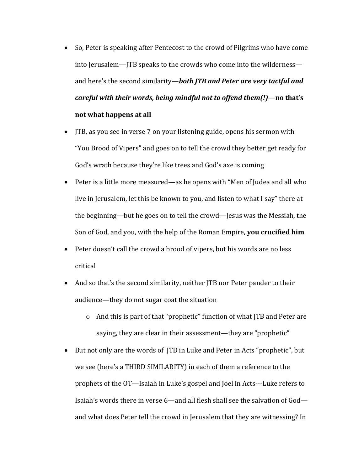- So, Peter is speaking after Pentecost to the crowd of Pilgrims who have come into Jerusalem—JTB speaks to the crowds who come into the wilderness and here's the second similarity—*both JTB and Peter are very tactful and careful with their words, being mindful not to offend them(!)*—no that's **not what happens at all**
- ITB, as you see in verse 7 on your listening guide, opens his sermon with "You Brood of Vipers" and goes on to tell the crowd they better get ready for God's wrath because they're like trees and God's axe is coming
- Peter is a little more measured—as he opens with "Men of Judea and all who live in Jerusalem, let this be known to you, and listen to what I say" there at the beginning—but he goes on to tell the crowd—Jesus was the Messiah, the Son of God, and you, with the help of the Roman Empire, you crucified him
- Peter doesn't call the crowd a brood of vipers, but his words are no less critical
- And so that's the second similarity, neither JTB nor Peter pander to their audience—they do not sugar coat the situation
	- $\circ$  And this is part of that "prophetic" function of what JTB and Peter are saying, they are clear in their assessment—they are "prophetic"
- But not only are the words of ITB in Luke and Peter in Acts "prophetic", but we see (here's a THIRD SIMILARITY) in each of them a reference to the prophets of the OT—Isaiah in Luke's gospel and Joel in Acts---Luke refers to Isaiah's words there in verse 6—and all flesh shall see the salvation of God and what does Peter tell the crowd in Jerusalem that they are witnessing? In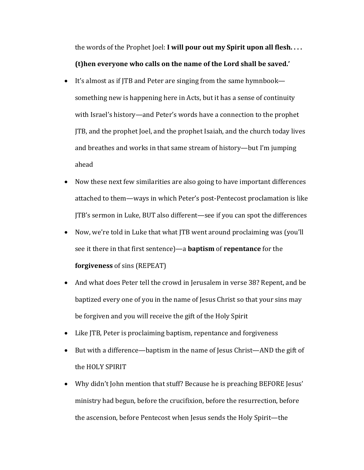the words of the Prophet Joel: **I will pour out my Spirit upon all flesh.** ... **(t)hen everyone who calls on the name of the Lord shall be saved.'** 

- It's almost as if JTB and Peter are singing from the same hymnbook something new is happening here in Acts, but it has a sense of continuity with Israel's history—and Peter's words have a connection to the prophet JTB, and the prophet Joel, and the prophet Isaiah, and the church today lives and breathes and works in that same stream of history—but I'm jumping ahead
- Now these next few similarities are also going to have important differences attached to them—ways in which Peter's post-Pentecost proclamation is like JTB's sermon in Luke, BUT also different—see if you can spot the differences
- Now, we're told in Luke that what JTB went around proclaiming was (you'll see it there in that first sentence)—a **baptism** of **repentance** for the **forgiveness** of sins (REPEAT)
- And what does Peter tell the crowd in Jerusalem in verse 38? Repent, and be baptized every one of you in the name of Jesus Christ so that your sins may be forgiven and you will receive the gift of the Holy Spirit
- Like JTB, Peter is proclaiming baptism, repentance and forgiveness
- But with a difference—baptism in the name of Jesus Christ—AND the gift of the HOLY SPIRIT
- Why didn't John mention that stuff? Because he is preaching BEFORE Jesus' ministry had begun, before the crucifixion, before the resurrection, before the ascension, before Pentecost when Jesus sends the Holy Spirit-the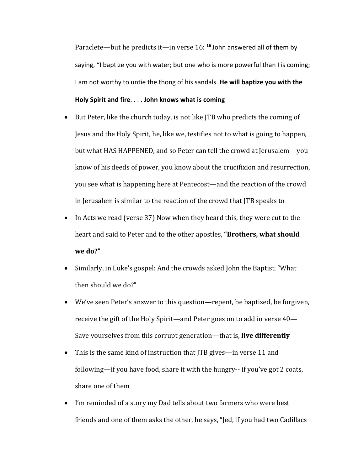Paraclete—but he predicts it—in verse 16: <sup>16</sup> John answered all of them by saying, "I baptize you with water; but one who is more powerful than I is coming; I am not worthy to untie the thong of his sandals. **He will baptize you with the Holy Spirit and fire**. . . . **John knows what is coming**

- But Peter, like the church today, is not like JTB who predicts the coming of Jesus and the Holy Spirit, he, like we, testifies not to what is going to happen, but what HAS HAPPENED, and so Peter can tell the crowd at Jerusalem—you know of his deeds of power, you know about the crucifixion and resurrection, you see what is happening here at Pentecost—and the reaction of the crowd in Jerusalem is similar to the reaction of the crowd that JTB speaks to
- In Acts we read (verse 37) Now when they heard this, they were cut to the heart and said to Peter and to the other apostles, "Brothers, what should **we do?"**
- Similarly, in Luke's gospel: And the crowds asked John the Baptist, "What then should we do?"
- We've seen Peter's answer to this question—repent, be baptized, be forgiven, receive the gift of the Holy Spirit—and Peter goes on to add in verse  $40-$ Save yourselves from this corrupt generation—that is, live differently
- This is the same kind of instruction that  $\text{ITB}$  gives—in verse 11 and following—if you have food, share it with the hungry-- if you've got 2 coats, share one of them
- I'm reminded of a story my Dad tells about two farmers who were best friends and one of them asks the other, he says, "Jed, if you had two Cadillacs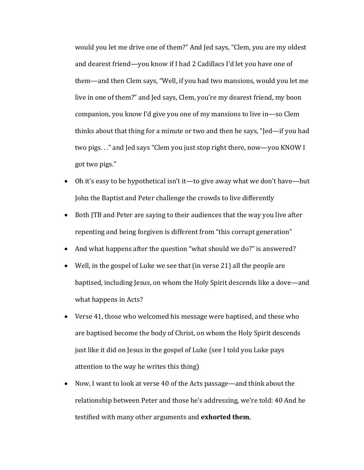would you let me drive one of them?" And Jed says, "Clem, you are my oldest and dearest friend—you know if I had 2 Cadillacs I'd let you have one of them—and then Clem says, "Well, if you had two mansions, would you let me live in one of them?" and Jed says, Clem, you're my dearest friend, my boon companion, you know I'd give you one of my mansions to live in—so Clem thinks about that thing for a minute or two and then he says, "Jed—if you had two pigs. . ." and Jed says "Clem you just stop right there, now—you KNOW I got two pigs."

- Oh it's easy to be hypothetical isn't it—to give away what we don't have—but John the Baptist and Peter challenge the crowds to live differently
- Both JTB and Peter are saying to their audiences that the way you live after repenting and being forgiven is different from "this corrupt generation"
- And what happens after the question "what should we do?" is answered?
- Well, in the gospel of Luke we see that (in verse 21) all the people are baptised, including Jesus, on whom the Holy Spirit descends like a dove—and what happens in Acts?
- Verse 41, those who welcomed his message were baptised, and these who are baptised become the body of Christ, on whom the Holy Spirit descends just like it did on Jesus in the gospel of Luke (see I told you Luke pays attention to the way he writes this thing)
- Now, I want to look at verse 40 of the Acts passage—and think about the relationship between Peter and those he's addressing, we're told: 40 And he testified with many other arguments and **exhorted them**,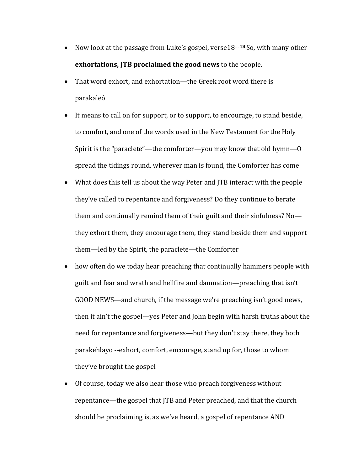- Now look at the passage from Luke's gospel, verse18--<sup>18</sup> So, with many other **exhortations, JTB** proclaimed the good news to the people.
- That word exhort, and exhortation—the Greek root word there is parakaleó
- It means to call on for support, or to support, to encourage, to stand beside, to comfort, and one of the words used in the New Testament for the Holy Spirit is the "paraclete"—the comforter—you may know that old hymn—O spread the tidings round, wherever man is found, the Comforter has come
- What does this tell us about the way Peter and JTB interact with the people they've called to repentance and forgiveness? Do they continue to berate them and continually remind them of their guilt and their sinfulness? Nothey exhort them, they encourage them, they stand beside them and support them—led by the Spirit, the paraclete—the Comforter
- how often do we today hear preaching that continually hammers people with guilt and fear and wrath and hellfire and damnation—preaching that isn't GOOD NEWS—and church, if the message we're preaching isn't good news, then it ain't the gospel—yes Peter and John begin with harsh truths about the need for repentance and forgiveness—but they don't stay there, they both parakehlayo --exhort, comfort, encourage, stand up for, those to whom they've brought the gospel
- Of course, today we also hear those who preach forgiveness without repentance—the gospel that  $ITB$  and Peter preached, and that the church should be proclaiming is, as we've heard, a gospel of repentance AND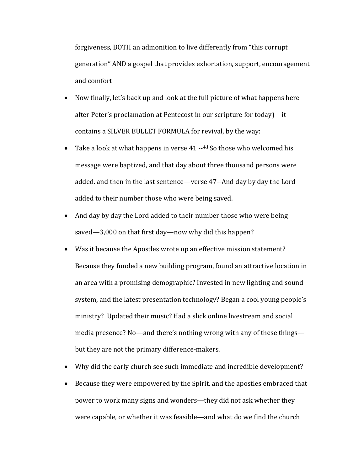forgiveness, BOTH an admonition to live differently from "this corrupt generation" AND a gospel that provides exhortation, support, encouragement and comfort

- Now finally, let's back up and look at the full picture of what happens here after Peter's proclamation at Pentecost in our scripture for today)—it contains a SILVER BULLET FORMULA for revival, by the way:
- Take a look at what happens in verse 41 --<sup>41</sup> So those who welcomed his message were baptized, and that day about three thousand persons were added. and then in the last sentence—verse 47--And day by day the Lord added to their number those who were being saved.
- And day by day the Lord added to their number those who were being saved—3,000 on that first day—now why did this happen?
- Was it because the Apostles wrote up an effective mission statement? Because they funded a new building program, found an attractive location in an area with a promising demographic? Invested in new lighting and sound system, and the latest presentation technology? Began a cool young people's ministry? Updated their music? Had a slick online livestream and social media presence? No—and there's nothing wrong with any of these things but they are not the primary difference-makers.
- Why did the early church see such immediate and incredible development?
- Because they were empowered by the Spirit, and the apostles embraced that power to work many signs and wonders—they did not ask whether they were capable, or whether it was feasible—and what do we find the church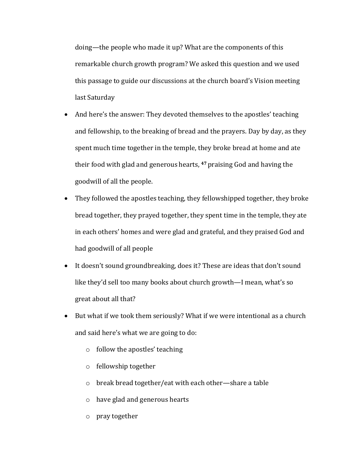doing—the people who made it up? What are the components of this remarkable church growth program? We asked this question and we used this passage to guide our discussions at the church board's Vision meeting last Saturday

- And here's the answer: They devoted themselves to the apostles' teaching and fellowship, to the breaking of bread and the prayers. Day by day, as they spent much time together in the temple, they broke bread at home and ate their food with glad and generous hearts, <sup>47</sup> praising God and having the goodwill of all the people.
- They followed the apostles teaching, they fellowshipped together, they broke bread together, they prayed together, they spent time in the temple, they ate in each others' homes and were glad and grateful, and they praised God and had goodwill of all people
- It doesn't sound groundbreaking, does it? These are ideas that don't sound like they'd sell too many books about church growth—I mean, what's so great about all that?
- But what if we took them seriously? What if we were intentional as a church and said here's what we are going to do:
	- $\circ$  follow the apostles' teaching
	- $\circ$  fellowship together
	- $\circ$  break bread together/eat with each other—share a table
	- $\circ$  have glad and generous hearts
	- o pray together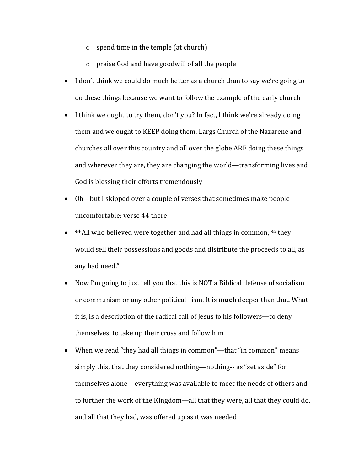- $\circ$  spend time in the temple (at church)
- $\circ$  praise God and have goodwill of all the people
- I don't think we could do much better as a church than to say we're going to do these things because we want to follow the example of the early church
- I think we ought to try them, don't you? In fact, I think we're already doing them and we ought to KEEP doing them. Largs Church of the Nazarene and churches all over this country and all over the globe ARE doing these things and wherever they are, they are changing the world—transforming lives and God is blessing their efforts tremendously
- Oh-- but I skipped over a couple of verses that sometimes make people uncomfortable: verse 44 there
- 44 All who believed were together and had all things in common; <sup>45</sup> they would sell their possessions and goods and distribute the proceeds to all, as any had need."
- Now I'm going to just tell you that this is NOT a Biblical defense of socialism or communism or any other political -ism. It is **much** deeper than that. What it is, is a description of the radical call of Jesus to his followers—to deny themselves, to take up their cross and follow him
- When we read "they had all things in common"—that "in common" means simply this, that they considered nothing—nothing-- as "set aside" for themselves alone—everything was available to meet the needs of others and to further the work of the Kingdom—all that they were, all that they could do, and all that they had, was offered up as it was needed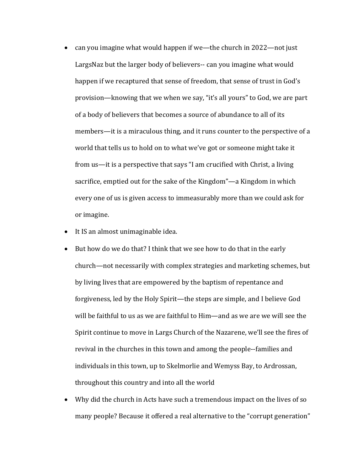- can you imagine what would happen if we—the church in  $2022$ —not just LargsNaz but the larger body of believers-- can you imagine what would happen if we recaptured that sense of freedom, that sense of trust in God's provision—knowing that we when we say, "it's all yours" to God, we are part of a body of believers that becomes a source of abundance to all of its members—it is a miraculous thing, and it runs counter to the perspective of a world that tells us to hold on to what we've got or someone might take it from us—it is a perspective that says "I am crucified with Christ, a living sacrifice, emptied out for the sake of the Kingdom"—a Kingdom in which every one of us is given access to immeasurably more than we could ask for or imagine.
- It IS an almost unimaginable idea.
- But how do we do that? I think that we see how to do that in the early church—not necessarily with complex strategies and marketing schemes, but by living lives that are empowered by the baptism of repentance and forgiveness, led by the Holy Spirit—the steps are simple, and I believe God will be faithful to us as we are faithful to Him—and as we are we will see the Spirit continue to move in Largs Church of the Nazarene, we'll see the fires of revival in the churches in this town and among the people--families and individuals in this town, up to Skelmorlie and Wemyss Bay, to Ardrossan, throughout this country and into all the world
- Why did the church in Acts have such a tremendous impact on the lives of so many people? Because it offered a real alternative to the "corrupt generation"